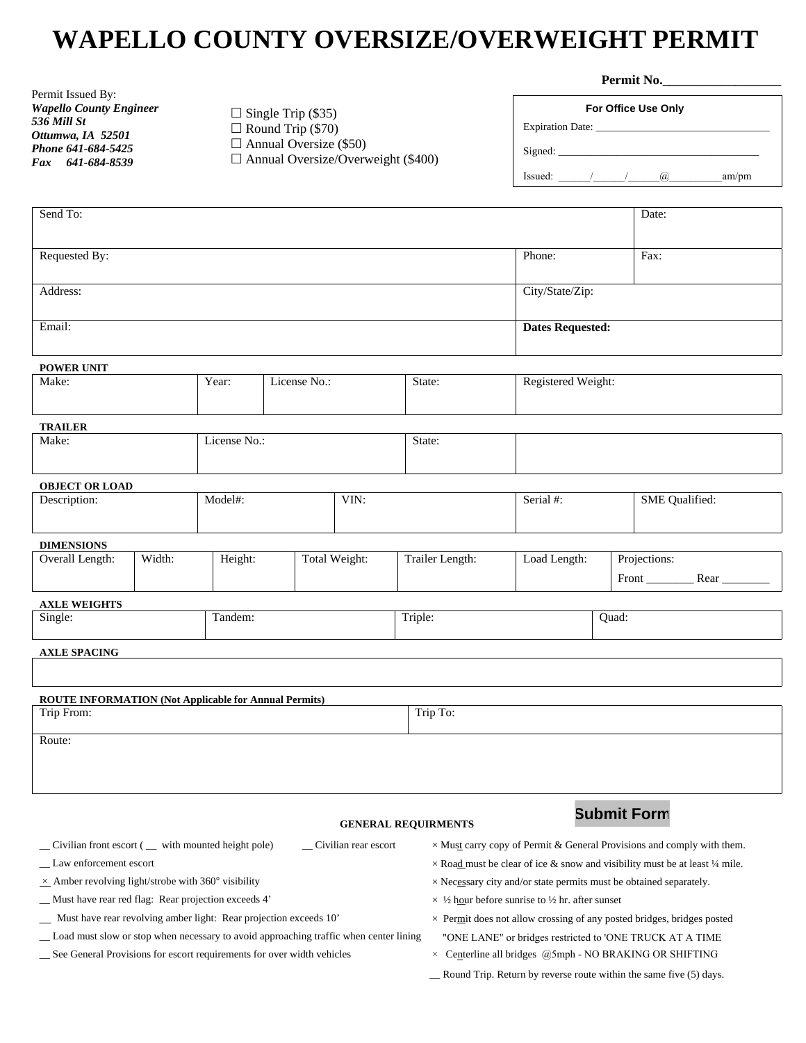## **WAPELLO COUNTY OVERSIZE/OVERWEIGHT PERMIT**

|                                                                                         |  | $\Box$ Single Trip (\$35)<br>$\Box$ Round Trip (\$70)<br>$\Box$ Annual Oversize (\$50)<br>$\Box$ Annual Oversize/Overweight (\$400) |              |                       |                            | Permit No.                                                                |                         |                                                                                     |  |
|-----------------------------------------------------------------------------------------|--|-------------------------------------------------------------------------------------------------------------------------------------|--------------|-----------------------|----------------------------|---------------------------------------------------------------------------|-------------------------|-------------------------------------------------------------------------------------|--|
| Permit Issued By:<br><b>Wapello County Engineer</b><br>536 Mill St<br>Ottumwa, IA 52501 |  |                                                                                                                                     |              |                       |                            | For Office Use Only<br>am/pm                                              |                         |                                                                                     |  |
| Phone 641-684-5425                                                                      |  |                                                                                                                                     |              |                       |                            |                                                                           |                         |                                                                                     |  |
| Fax 641-684-8539                                                                        |  |                                                                                                                                     |              |                       |                            |                                                                           |                         |                                                                                     |  |
| Send To:                                                                                |  |                                                                                                                                     |              |                       |                            |                                                                           |                         | Date:                                                                               |  |
|                                                                                         |  |                                                                                                                                     |              |                       |                            |                                                                           |                         |                                                                                     |  |
| Requested By:                                                                           |  |                                                                                                                                     |              |                       |                            |                                                                           |                         | Fax:                                                                                |  |
| Address:                                                                                |  |                                                                                                                                     |              |                       |                            | City/State/Zip:                                                           |                         |                                                                                     |  |
| Email:                                                                                  |  |                                                                                                                                     |              |                       |                            |                                                                           | <b>Dates Requested:</b> |                                                                                     |  |
| <b>POWER UNIT</b>                                                                       |  |                                                                                                                                     |              |                       |                            |                                                                           |                         |                                                                                     |  |
| Make:                                                                                   |  | Year:                                                                                                                               | License No.: |                       | State:                     | Registered Weight:                                                        |                         |                                                                                     |  |
| <b>TRAILER</b>                                                                          |  |                                                                                                                                     |              |                       |                            |                                                                           |                         |                                                                                     |  |
| Make:                                                                                   |  | License No.:                                                                                                                        |              | State:                |                            |                                                                           |                         |                                                                                     |  |
| <b>OBJECT OR LOAD</b>                                                                   |  |                                                                                                                                     |              |                       |                            |                                                                           |                         |                                                                                     |  |
| Description:                                                                            |  | Model#:<br>VIN:                                                                                                                     |              |                       | Serial #:                  |                                                                           | <b>SME</b> Qualified:   |                                                                                     |  |
| <b>DIMENSIONS</b>                                                                       |  |                                                                                                                                     |              |                       |                            |                                                                           |                         |                                                                                     |  |
| Overall Length:<br>Width:                                                               |  | Height:                                                                                                                             |              | Total Weight:         | Trailer Length:            | Load Length:                                                              | Projections:            |                                                                                     |  |
| <b>AXLE WEIGHTS</b>                                                                     |  |                                                                                                                                     |              |                       |                            |                                                                           |                         |                                                                                     |  |
| Single:                                                                                 |  | Tandem:                                                                                                                             |              | Triple:               |                            | Ouad:                                                                     |                         |                                                                                     |  |
| <b>AXLE SPACING</b>                                                                     |  |                                                                                                                                     |              |                       |                            |                                                                           |                         |                                                                                     |  |
|                                                                                         |  |                                                                                                                                     |              |                       |                            |                                                                           |                         |                                                                                     |  |
| <b>ROUTE INFORMATION (Not Applicable for Annual Permits)</b>                            |  |                                                                                                                                     |              |                       |                            |                                                                           |                         |                                                                                     |  |
| Trip From:                                                                              |  |                                                                                                                                     |              |                       | Trip To:                   |                                                                           |                         |                                                                                     |  |
| Route:                                                                                  |  |                                                                                                                                     |              |                       |                            |                                                                           |                         |                                                                                     |  |
|                                                                                         |  |                                                                                                                                     |              |                       | <b>GENERAL REQUIRMENTS</b> |                                                                           |                         | <b>Submit Form</b>                                                                  |  |
| _Civilian front escort ( _ with mounted height pole)                                    |  |                                                                                                                                     |              | _Civilian rear escort |                            |                                                                           |                         | $\times$ Must carry copy of Permit & General Provisions and comply with them.       |  |
| _ Law enforcement escort                                                                |  |                                                                                                                                     |              |                       |                            |                                                                           |                         | $\times$ Road must be clear of ice & snow and visibility must be at least 1/4 mile. |  |
| $\times$ Amber revolving light/strobe with 360° visibility                              |  |                                                                                                                                     |              |                       |                            | $\times$ Necessary city and/or state permits must be obtained separately. |                         |                                                                                     |  |

- \_\_ Must have rear red flag: Rear projection exceeds 4'
- Must have rear revolving amber light: Rear projection exceeds 10'
- \_\_ Load must slow or stop when necessary to avoid approaching traffic when center lining
- \_\_ See General Provisions for escort requirements for over width vehicles
- 
- $\times$  ½ hour before sunrise to ½ hr. after sunset
- $\times$  Permit does not allow crossing of any posted bridges, bridges posted
- "ONE LANE" or bridges restricted to 'ONE TRUCK AT A TIME
- $\times$  Centerline all bridges @5mph NO BRAKING OR SHIFTING
- \_\_ Round Trip. Return by reverse route within the same five (5) days.